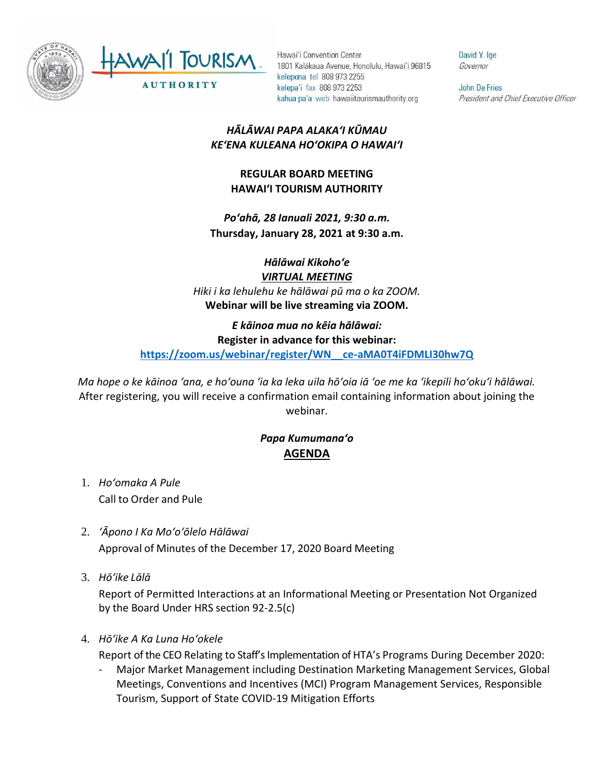

Hawai'i Convention Center 1801 Kalākaua Avenue, Honolulu, Hawai'i 96815 kelepona tel 808 973 2255 kelepa'i fax 808 973 2253 kahua pa'a web hawaiitourismauthority.org

David Y. Ige Governor

**John De Fries** President and Chief Executive Officer

## *HĀLĀWAI PAPA ALAKAʻI KŪMAU KEʻENA KULEANA HOʻOKIPA O HAWAIʻI*

## **REGULAR BOARD MEETING HAWAI'I TOURISM AUTHORITY**

*Poʻahā, 28 Ianuali 2021, 9:30 a.m.* **Thursday, January 28, 2021 at 9:30 a.m.**

*Hālāwai Kikohoʻe VIRTUAL MEETING Hiki i ka lehulehu ke hālāwai pū ma o ka ZOOM.* **Webinar will be live streaming via ZOOM.**

## *E kāinoa mua no kēia hālāwai:* **Register in advance for this webinar: [https://zoom.us/webinar/register/WN\\_\\_ce-aMA0T4iFDMLI30hw7Q](https://zoom.us/webinar/register/WN__ce-aMA0T4iFDMLI30hw7Q)**

*Ma hope o ke kāinoa ʻana, e hoʻouna ʻia ka leka uila hōʻoia iā ʻoe me ka ʻikepili hoʻokuʻi hālāwai.* After registering, you will receive a confirmation email containing information about joining the webinar.

## *Papa Kumumanaʻo* **AGENDA**

- 1. *Ho'omaka A Pule* Call to Order and Pule
- 2. *ʻĀpono I Ka Moʻoʻōlelo Hālāwai* Approval of Minutes of the December 17, 2020 Board Meeting
- 3. *Hō'ike Lālā*

Report of Permitted Interactions at an Informational Meeting or Presentation Not Organized by the Board Under HRS section 92-2.5(c)

4. *Hōʻike A Ka Luna Hoʻokele*

Report of the CEO Relating to Staff's Implementation of HTA's Programs During December 2020:

- Major Market Management including Destination Marketing Management Services, Global Meetings, Conventions and Incentives (MCI) Program Management Services, Responsible Tourism, Support of State COVID-19 Mitigation Efforts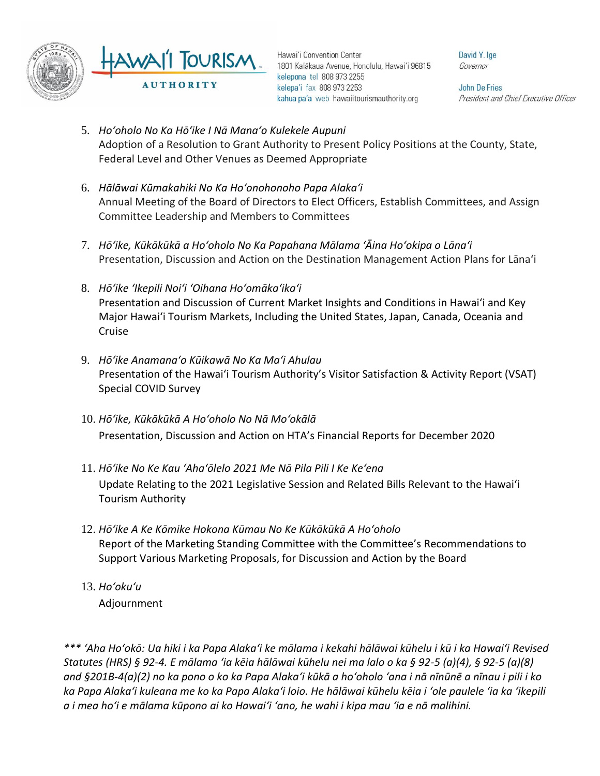

Hawai'i Convention Center 1801 Kalākaua Avenue, Honolulu, Hawai'i 96815 kelepona tel 808 973 2255 kelepa'i fax 808 973 2253 kahua pa'a web hawaiitourismauthority.org

David Y. Ige Governor

**John De Fries** President and Chief Executive Officer

- 5. *Hoʻoholo No Ka Hōʻike I Nā Manaʻo Kulekele Aupuni* Adoption of a Resolution to Grant Authority to Present Policy Positions at the County, State, Federal Level and Other Venues as Deemed Appropriate
- 6. *Hālāwai Kūmakahiki No Ka Hoʻonohonoho Papa Alakaʻi* Annual Meeting of the Board of Directors to Elect Officers, Establish Committees, and Assign Committee Leadership and Members to Committees
- 7. *Hōʻike, Kūkākūkā a Hoʻoholo No Ka Papahana Mālama ʻĀina Hoʻokipa o Lānaʻi* Presentation, Discussion and Action on the Destination Management Action Plans for Lāna'i
- 8. *Hōʻike ʻIkepili Noiʻi ʻOihana Hoʻomākaʻikaʻi* Presentation and Discussion of Current Market Insights and Conditions in Hawai'i and Key Major Hawai'i Tourism Markets, Including the United States, Japan, Canada, Oceania and Cruise
- 9. *Hōʻike Anamanaʻo Kūikawā No Ka Maʻi Ahulau* Presentation of the Hawaiʻi Tourism Authority's Visitor Satisfaction & Activity Report (VSAT) Special COVID Survey
- 10. *Hōʻike, Kūkākūkā A Hoʻoholo No Nā Moʻokālā*  Presentation, Discussion and Action on HTA's Financial Reports for December 2020
- 11. *Hōʻike No Ke Kau ʻAhaʻōlelo 2021 Me Nā Pila Pili I Ke Keʻena* Update Relating to the 2021 Legislative Session and Related Bills Relevant to the Hawaiʻi Tourism Authority
- 12. *Hōʻike A Ke Kōmike Hokona Kūmau No Ke Kūkākūkā A Hoʻoholo* Report of the Marketing Standing Committee with the Committee's Recommendations to Support Various Marketing Proposals, for Discussion and Action by the Board
- 13. *Ho'oku'u* Adjournment

*\*\*\* ʻAha Hoʻokō: Ua hiki i ka Papa Alakaʻi ke mālama i kekahi hālāwai kūhelu i kū i ka Hawaiʻi Revised Statutes (HRS) § 92-4. E mālama ʻia kēia hālāwai kūhelu nei ma lalo o ka § 92-5 (a)(4), § 92-5 (a)(8) and §201B-4(a)(2) no ka pono o ko ka Papa Alakaʻi kūkā a hoʻoholo ʻana i nā nīnūnē a nīnau i pili i ko ka Papa Alakaʻi kuleana me ko ka Papa Alakaʻi loio. He hālāwai kūhelu kēia i ʻole paulele ʻia ka ʻikepili a i mea hoʻi e mālama kūpono ai ko Hawaiʻi ʻano, he wahi i kipa mau ʻia e nā malihini.*